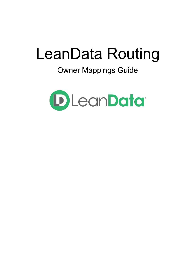# LeanData Routing

# Owner Mappings Guide

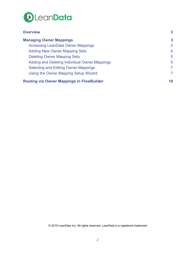

| <b>Overview</b>                                  | 3            |
|--------------------------------------------------|--------------|
| <b>Managing Owner Mappings</b>                   | $\mathbf{3}$ |
| <b>Accessing LeanData Owner Mappings</b>         | 3            |
| <b>Adding New Owner Mapping Sets</b>             | 4            |
| <b>Deleting Owner Mapping Sets</b>               | 5            |
| Adding and Deleting Individual Owner Mappings    | 5            |
| <b>Selecting and Editing Owner Mappings</b>      | 7            |
| Using the Owner Mapping Setup Wizard             | 7            |
| <b>Routing via Owner Mappings in FlowBuilder</b> | 10           |

© 2019 LeanData Inc. All rights reserved. LeanData is a registered trademark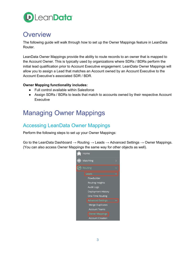

#### <span id="page-2-0"></span>**Overview**

The following guide will walk through how to set up the Owner Mappings feature in LeanData Router.

LeanData Owner Mappings provide the ability to route records to an owner that is mapped to the Account Owner. This is typically used by organizations where SDRs / BDRs perform the initial lead qualification prior to Account Executive engagement. LeanData Owner Mappings will allow you to assign a Lead that matches an Account owned by an Account Executive to the Account Executive's associated SDR / BDR.

#### **Owner Mapping functionality includes:**

- Full control available within Salesforce
- Assign SDRs / BDRs to leads that match to accounts owned by their respective Account Executive

### <span id="page-2-1"></span>Managing Owner Mappings

#### <span id="page-2-2"></span>Accessing LeanData Owner Mappings

Perform the following steps to set up your Owner Mappings:

Go to the LeanData Dashboard  $\rightarrow$  Routing  $\rightarrow$  Leads  $\rightarrow$  Advanced Settings  $\rightarrow$  Owner Mappings. (You can also access Owner Mappings the same way for other objects as well).

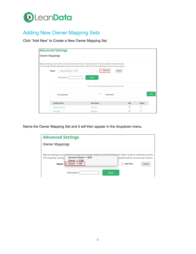

#### <span id="page-3-0"></span>Adding New Owner Mapping Sets

Click "Add New" to Create a New Owner Mapping Set.

| <b>Advanced Settings</b> |                                                                                                                                                                                                                                                                                        |                      |                                                                      |           |                      |
|--------------------------|----------------------------------------------------------------------------------------------------------------------------------------------------------------------------------------------------------------------------------------------------------------------------------------|----------------------|----------------------------------------------------------------------|-----------|----------------------|
| <b>Owner Mappings</b>    |                                                                                                                                                                                                                                                                                        |                      |                                                                      |           |                      |
| Name                     | Map an existing account owner to a new account team owner in LeanData Router for leads routed to matched accounts.<br>This is typically used by organizations with account teams where SDRs / BDRs first qualify leads for account exec owners.<br>Account Owner → SDR<br>Description: | $\checkmark$<br>Save | Add New<br>Delete                                                    |           |                      |
|                          | <b>Existing Owner</b>                                                                                                                                                                                                                                                                  | $\rightarrow$        | Add a new entry by specifying an existing and new owner<br>New Owner |           | Add                  |
|                          | <b>Existing Owner</b><br>Account Exec One                                                                                                                                                                                                                                              | New Owner<br>SDR One |                                                                      | Edit<br>Ø | <b>Delete</b><br>r — |
| <b>Kevin Test</b>        |                                                                                                                                                                                                                                                                                        | <b>SDR Four</b>      |                                                                      |           |                      |

Name the Owner Mapping Set and it will then appear in the dropdown menu.

| <b>Advanced Settings</b>                                                                                                                                                                                                   |                                                                              |
|----------------------------------------------------------------------------------------------------------------------------------------------------------------------------------------------------------------------------|------------------------------------------------------------------------------|
| <b>Owner Mappings</b>                                                                                                                                                                                                      |                                                                              |
| Map an existing account owner to a new account team owner in LeanData Router for leads routed to matched accounts.<br>Account Owner $\rightarrow$ SDR<br>This is typically used by<br>Owner -> CSM<br>Owner -> ISR<br>Name | qualify leads for account exec owners.<br><b>Add New</b><br>$^{+}$<br>Delete |
| Description:<br>Save                                                                                                                                                                                                       |                                                                              |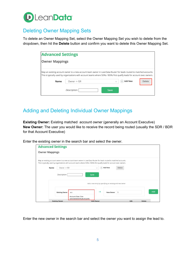

#### <span id="page-4-0"></span>Deleting Owner Mapping Sets

To delete an Owner Mapping Set, select the Owner Mapping Set you wish to delete from the dropdown, then hit the **Delete** button and confirm you want to delete this Owner Mapping Set.

| <b>Advanced Settings</b> |                                                                                                                                                                                                                                                                 |        |                          |  |
|--------------------------|-----------------------------------------------------------------------------------------------------------------------------------------------------------------------------------------------------------------------------------------------------------------|--------|--------------------------|--|
| <b>Owner Mappings</b>    |                                                                                                                                                                                                                                                                 |        |                          |  |
| Name                     | Map an existing account owner to a new account team owner in LeanData Router for leads routed to matched accounts.<br>This is typically used by organizations with account teams where SDRs / BDRs first qualify leads for account exec owners.<br>Owner -> ISR | $^{+}$ | <b>Add New</b><br>Delete |  |
|                          | Description:                                                                                                                                                                                                                                                    | Save   |                          |  |

#### <span id="page-4-1"></span>Adding and Deleting Individual Owner Mappings

**Existing Owner:** Existing matched account owner (generally an Account Executive) **New Owner:** The user you would like to receive the record being routed (usually the SDR / BDR for that Account Executive)

Enter the existing owner in the search bar and select the owner.

| <b>Advanced Settings</b> |                                                                                                                                                                                                                                                                                 |                                                                                              |        |               |
|--------------------------|---------------------------------------------------------------------------------------------------------------------------------------------------------------------------------------------------------------------------------------------------------------------------------|----------------------------------------------------------------------------------------------|--------|---------------|
| <b>Owner Mappings</b>    |                                                                                                                                                                                                                                                                                 |                                                                                              |        |               |
| Name                     | Map an existing account owner to a new account team owner in LeanData Router for leads routed to matched accounts.<br>This is typically used by organizations with account teams where SDRs / BDRs first qualify leads for account exec owners.<br>Owner -> ISR<br>Description: | <b>Add New</b><br>$\checkmark$<br>Save                                                       | Delete |               |
|                          | <b>Existing Owner</b><br>acc<br><b>Account Exec One</b>                                                                                                                                                                                                                         | Add a new entry by specifying an existing and new owner<br>$\rightarrow$<br><b>New Owner</b> | S      | Add           |
| <b>Existing Owner</b>    | (0052M000009QRvDQAW)                                                                                                                                                                                                                                                            | <b>New Owner</b>                                                                             | Edit   | <b>Delete</b> |

Enter the new owner in the search bar and select the owner you want to assign the lead to.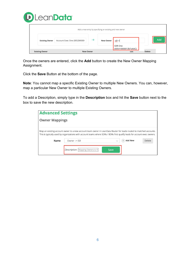

|                       |                            |           | Add a new entry by specifying an existing and new owner |                                                |               |     |
|-----------------------|----------------------------|-----------|---------------------------------------------------------|------------------------------------------------|---------------|-----|
| <b>Existing Owner</b> | Account Exec One (0052M000 |           | <b>New Owner</b>                                        | sdr o                                          |               | Add |
| <b>Existing Owner</b> |                            | New Owner |                                                         | SDR One<br>(00541000001Zk7oAAC)<br><b>EQIT</b> | <b>Delete</b> |     |

Once the owners are entered, click the **Add** button to create the New Owner Mapping Assignment.

Click the **Save** Button at the bottom of the page.

**Note**: You cannot map a specific Existing Owner to multiple New Owners. You can, however, map a particular New Owner to multiple Existing Owners.

To add a Description, simply type in the **Description** box and hit the **Save** button next to the box to save the new description.

| <b>Advanced Settings</b> |                                                                                                                                                                                                                                                 |              |                |        |
|--------------------------|-------------------------------------------------------------------------------------------------------------------------------------------------------------------------------------------------------------------------------------------------|--------------|----------------|--------|
| <b>Owner Mappings</b>    |                                                                                                                                                                                                                                                 |              |                |        |
|                          | Map an existing account owner to a new account team owner in LeanData Router for leads routed to matched accounts.<br>This is typically used by organizations with account teams where SDRs / BDRs first qualify leads for account exec owners. |              |                |        |
| Name                     | Owner -> ISR                                                                                                                                                                                                                                    | $\checkmark$ | <b>Add New</b> | Delete |
|                          | <i>Description:</i>   Mapping Owners to IS                                                                                                                                                                                                      | Save         |                |        |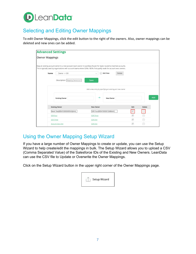

#### <span id="page-6-0"></span>Selecting and Editing Owner Mappings

To edit Owner Mappings, click the edit button to the right of the owners. Also, owner mappings can be deleted and new ones can be added.

| <b>Advanced Settings</b> |                                     |                                                                                                                                                                                                                                                 |               |               |
|--------------------------|-------------------------------------|-------------------------------------------------------------------------------------------------------------------------------------------------------------------------------------------------------------------------------------------------|---------------|---------------|
| <b>Owner Mappings</b>    |                                     |                                                                                                                                                                                                                                                 |               |               |
|                          |                                     | Map an existing account owner to a new account team owner in LeanData Router for leads routed to matched accounts.<br>This is typically used by organizations with account teams where SDRs / BDRs first qualify leads for account exec owners. |               |               |
| Name                     | Owner -> ISR                        | <b>Add New</b><br>Delete<br>$^{(+)}$<br>$\vee$                                                                                                                                                                                                  |               |               |
|                          | Description:   Mapping Owners to IS | Save                                                                                                                                                                                                                                            |               |               |
|                          |                                     | Add a new entry by specifying an existing and new owner                                                                                                                                                                                         |               |               |
|                          | <b>Existing Owner</b>               | $\rightarrow$<br>New Owner                                                                                                                                                                                                                      |               | Add           |
|                          | <b>Existing Owner</b>               | <b>New Owner</b>                                                                                                                                                                                                                                | Edit          | <b>Delete</b> |
|                          | Kevin Test(00541000000RSHQAA4)      | SDR Four(00541000001Zk88AAC)                                                                                                                                                                                                                    | $\circledast$ |               |
|                          | <b>SDR Four</b>                     | <b>SDR Three</b>                                                                                                                                                                                                                                | Ø             | $-$           |
|                          | <b>SDR Three</b>                    | <b>SDR</b> One                                                                                                                                                                                                                                  | Ø.            | $-$           |
|                          | <b>Account Exec One</b>             | SDR One                                                                                                                                                                                                                                         | D             |               |

#### <span id="page-6-1"></span>Using the Owner Mapping Setup Wizard

If you have a large number of Owner Mappings to create or update, you can use the Setup Wizard to help create/edit the mappings in bulk. The Setup Wizard allows you to upload a CSV (Comma Separated Value) of the Salesforce IDs of the Existing and New Owners. LeanData can use the CSV file to Update or Overwrite the Owner Mappings.

Click on the Setup Wizard button in the upper right corner of the Owner Mappings page.

| Setup Wizard |  |
|--------------|--|
|              |  |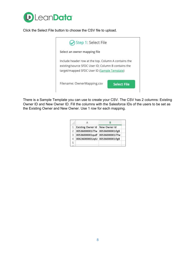

Click the Select File button to choose the CSV file to upload.



There is a Sample Template you can use to create your CSV. The CSV has 2 columns: Existing Owner ID and New Owner ID. Fill the columns with the Salesforce IDs of the users to be set as the Existing Owner and New Owner. Use 1 row for each mapping.

| $\mathbf{1}$ | Existing Owner Id New Owner Id  |  |
|--------------|---------------------------------|--|
|              | 00536000001iTfw 00536000001ifg8 |  |
|              | 00536000001qudf 00536000001iTfw |  |
|              | 00G36000001JqIU 00536000001ifg8 |  |
|              |                                 |  |
|              |                                 |  |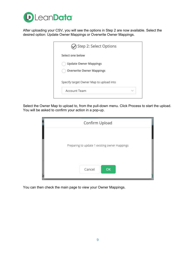

After uploading your CSV, you will see the options in Step 2 are now available. Select the desired option: Update Owner Mappings or Overwrite Owner Mappings.

| Step 2: Select Options                  |  |
|-----------------------------------------|--|
| Select one below                        |  |
| <b>Update Owner Mappings</b>            |  |
| <b>Overwrite Owner Mappings</b>         |  |
| Specify target Owner Map to upload into |  |
| Account Team                            |  |

Select the Owner Map to upload to, from the pull-down menu. Click Process to start the upload. You will be asked to confirm your action in a pop-up.

| Confirm Upload |                                               |  |  |  |
|----------------|-----------------------------------------------|--|--|--|
|                | Preparing to update 1 existing owner mappings |  |  |  |
| Cancel         | OK                                            |  |  |  |

You can then check the main page to view your Owner Mappings.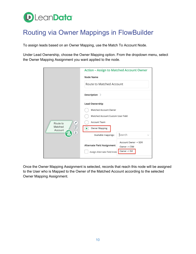# **D**LeanData<sup>®</sup>

## <span id="page-9-0"></span>Routing via Owner Mappings in FlowBuilder

To assign leads based on an Owner Mapping, use the Match To Account Node.

Under Lead Ownership, choose the Owner Mapping option. From the dropdown menu, select the Owner Mapping Assignment you want applied to the node.

|                                                          | <b>Action - Assign to Matched Account Owner</b>                   |  |  |
|----------------------------------------------------------|-------------------------------------------------------------------|--|--|
|                                                          | Node Name                                                         |  |  |
| Í<br>Route to<br>Matched<br>đ<br>Account<br>$\mathbb{E}$ | Route to Matched Account                                          |  |  |
|                                                          | Description >                                                     |  |  |
|                                                          | Lead Ownership                                                    |  |  |
|                                                          | Matched Account Owner                                             |  |  |
|                                                          | Matched Account Custom User Field                                 |  |  |
|                                                          | <b>Account Team</b>                                               |  |  |
|                                                          | <b>Owner Mapping</b>                                              |  |  |
|                                                          | Search<br>Available mappings:                                     |  |  |
|                                                          | Account Owner $\rightarrow$ SDR                                   |  |  |
|                                                          | <b>Alternate Field Assignment</b><br>Owner -> CSM<br>Owner -> ISR |  |  |
|                                                          | Assign Alternate Field Inste                                      |  |  |

Once the Owner Mapping Assignment is selected, records that reach this node will be assigned to the User who is Mapped to the Owner of the Matched Account according to the selected Owner Mapping Assignment.